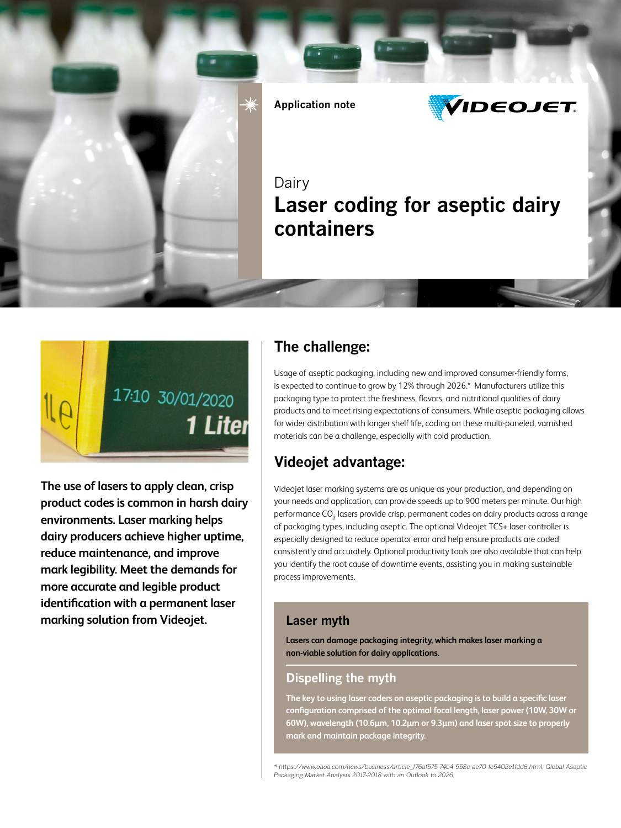



**The use of lasers to apply clean, crisp product codes is common in harsh dairy environments. Laser marking helps dairy producers achieve higher uptime, reduce maintenance, and improve mark legibility. Meet the demands for more accurate and legible product identification with a permanent laser marking solution from Videojet.**

## **The challenge:**

Usage of aseptic packaging, including new and improved consumer-friendly forms, is expected to continue to grow by 12% through 2026.\* Manufacturers utilize this packaging type to protect the freshness, flavors, and nutritional qualities of dairy products and to meet rising expectations of consumers. While aseptic packaging allows for wider distribution with longer shelf life, coding on these multi-paneled, varnished materials can be a challenge, especially with cold production.

# **Videojet advantage:**

Videojet laser marking systems are as unique as your production, and depending on your needs and application, can provide speeds up to 900 meters per minute. Our high performance CO<sub>2</sub> lasers provide crisp, permanent codes on dairy products across a range of packaging types, including aseptic. The optional Videojet TCS+ laser controller is especially designed to reduce operator error and help ensure products are coded consistently and accurately. Optional productivity tools are also available that can help you identify the root cause of downtime events, assisting you in making sustainable process improvements.

### **Laser myth**

**Lasers can damage packaging integrity, which makes laser marking a non-viable solution for dairy applications.**

### **Dispelling the myth**

**The key to using laser coders on aseptic packaging is to build a specific laser configuration comprised of the optimal focal length, laser power (10W, 30W or 60W), wavelength (10.6μm, 10.2μm or 9.3μm) and laser spot size to properly mark and maintain package integrity.**

*\* https://www.oaoa.com/news/business/article\_f76af575-74b4-558c-ae70-fe5402e1fdd6.html; Global Aseptic*  Packaging Market Analysis 2017-2018 with an Outlook to 2026;